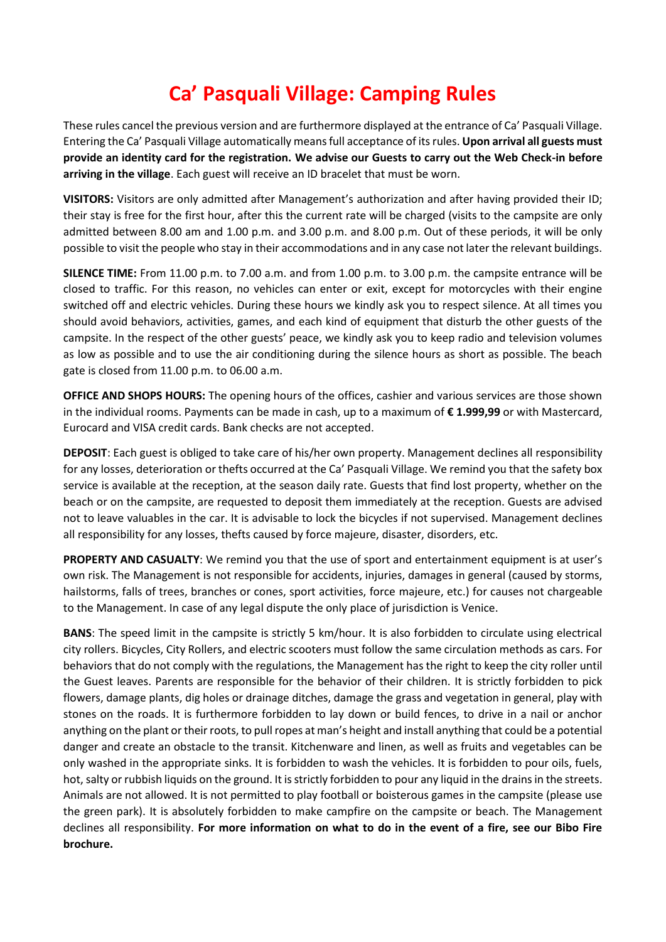## **Ca' Pasquali Village: Camping Rules**

These rules cancel the previous version and are furthermore displayed at the entrance of Ca' Pasquali Village. Entering the Ca' Pasquali Village automatically means full acceptance of its rules. **Upon arrival all guests must provide an identity card for the registration. We advise our Guests to carry out the Web Check-in before arriving in the village**. Each guest will receive an ID bracelet that must be worn.

**VISITORS:** Visitors are only admitted after Management's authorization and after having provided their ID; their stay is free for the first hour, after this the current rate will be charged (visits to the campsite are only admitted between 8.00 am and 1.00 p.m. and 3.00 p.m. and 8.00 p.m. Out of these periods, it will be only possible to visit the people who stay in their accommodations and in any case not later the relevant buildings.

**SILENCE TIME:** From 11.00 p.m. to 7.00 a.m. and from 1.00 p.m. to 3.00 p.m. the campsite entrance will be closed to traffic. For this reason, no vehicles can enter or exit, except for motorcycles with their engine switched off and electric vehicles. During these hours we kindly ask you to respect silence. At all times you should avoid behaviors, activities, games, and each kind of equipment that disturb the other guests of the campsite. In the respect of the other guests' peace, we kindly ask you to keep radio and television volumes as low as possible and to use the air conditioning during the silence hours as short as possible. The beach gate is closed from 11.00 p.m. to 06.00 a.m.

**OFFICE AND SHOPS HOURS:** The opening hours of the offices, cashier and various services are those shown in the individual rooms. Payments can be made in cash, up to a maximum of **€ 1.999,99** or with Mastercard, Eurocard and VISA credit cards. Bank checks are not accepted.

**DEPOSIT**: Each guest is obliged to take care of his/her own property. Management declines all responsibility for any losses, deterioration or thefts occurred at the Ca' Pasquali Village. We remind you that the safety box service is available at the reception, at the season daily rate. Guests that find lost property, whether on the beach or on the campsite, are requested to deposit them immediately at the reception. Guests are advised not to leave valuables in the car. It is advisable to lock the bicycles if not supervised. Management declines all responsibility for any losses, thefts caused by force majeure, disaster, disorders, etc.

**PROPERTY AND CASUALTY**: We remind you that the use of sport and entertainment equipment is at user's own risk. The Management is not responsible for accidents, injuries, damages in general (caused by storms, hailstorms, falls of trees, branches or cones, sport activities, force majeure, etc.) for causes not chargeable to the Management. In case of any legal dispute the only place of jurisdiction is Venice.

**BANS**: The speed limit in the campsite is strictly 5 km/hour. It is also forbidden to circulate using electrical city rollers. Bicycles, City Rollers, and electric scooters must follow the same circulation methods as cars. For behaviors that do not comply with the regulations, the Management has the right to keep the city roller until the Guest leaves. Parents are responsible for the behavior of their children. It is strictly forbidden to pick flowers, damage plants, dig holes or drainage ditches, damage the grass and vegetation in general, play with stones on the roads. It is furthermore forbidden to lay down or build fences, to drive in a nail or anchor anything on the plant or their roots, to pull ropes at man's height and install anything that could be a potential danger and create an obstacle to the transit. Kitchenware and linen, as well as fruits and vegetables can be only washed in the appropriate sinks. It is forbidden to wash the vehicles. It is forbidden to pour oils, fuels, hot, salty or rubbish liquids on the ground. It is strictly forbidden to pour any liquid in the drains in the streets. Animals are not allowed. It is not permitted to play football or boisterous games in the campsite (please use the green park). It is absolutely forbidden to make campfire on the campsite or beach. The Management declines all responsibility. **For more information on what to do in the event of a fire, see our Bibo Fire brochure.**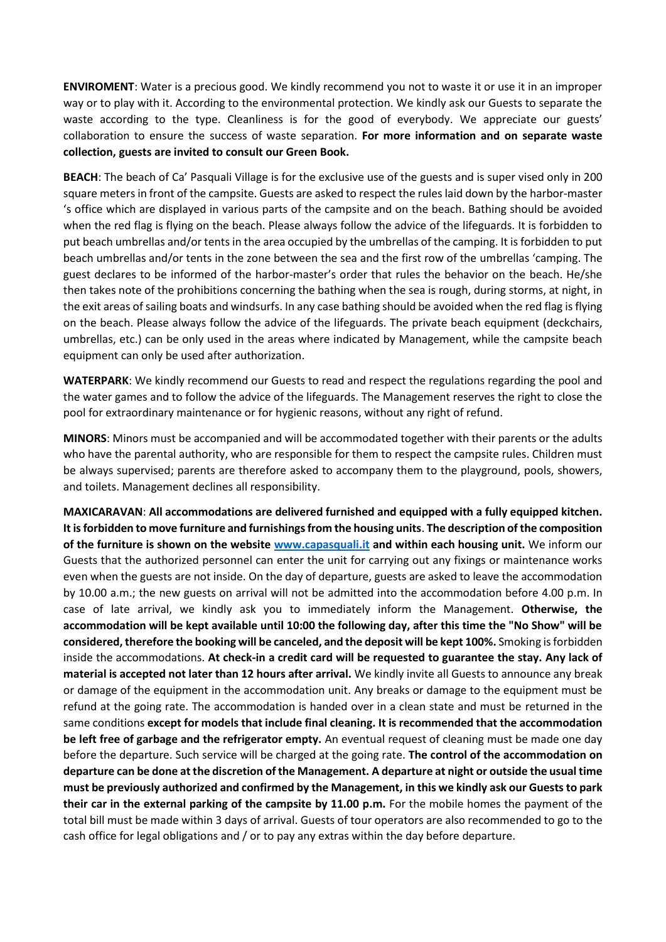**ENVIROMENT**: Water is a precious good. We kindly recommend you not to waste it or use it in an improper way or to play with it. According to the environmental protection. We kindly ask our Guests to separate the waste according to the type. Cleanliness is for the good of everybody. We appreciate our guests' collaboration to ensure the success of waste separation. **For more information and on separate waste collection, guests are invited to consult our Green Book.**

**BEACH**: The beach of Ca' Pasquali Village is for the exclusive use of the guests and is super vised only in 200 square meters in front of the campsite. Guests are asked to respect the rules laid down by the harbor-master 's office which are displayed in various parts of the campsite and on the beach. Bathing should be avoided when the red flag is flying on the beach. Please always follow the advice of the lifeguards. It is forbidden to put beach umbrellas and/or tents in the area occupied by the umbrellas of the camping. It is forbidden to put beach umbrellas and/or tents in the zone between the sea and the first row of the umbrellas 'camping. The guest declares to be informed of the harbor-master's order that rules the behavior on the beach. He/she then takes note of the prohibitions concerning the bathing when the sea is rough, during storms, at night, in the exit areas of sailing boats and windsurfs. In any case bathing should be avoided when the red flag is flying on the beach. Please always follow the advice of the lifeguards. The private beach equipment (deckchairs, umbrellas, etc.) can be only used in the areas where indicated by Management, while the campsite beach equipment can only be used after authorization.

**WATERPARK**: We kindly recommend our Guests to read and respect the regulations regarding the pool and the water games and to follow the advice of the lifeguards. The Management reserves the right to close the pool for extraordinary maintenance or for hygienic reasons, without any right of refund.

**MINORS**: Minors must be accompanied and will be accommodated together with their parents or the adults who have the parental authority, who are responsible for them to respect the campsite rules. Children must be always supervised; parents are therefore asked to accompany them to the playground, pools, showers, and toilets. Management declines all responsibility.

**MAXICARAVAN**: **All accommodations are delivered furnished and equipped with a fully equipped kitchen. It is forbidden to move furniture and furnishings from the housing units**. **The description of the composition of the furniture is shown on the website [www.capasquali.it](http://www.capasquali.it/) and within each housing unit.** We inform our Guests that the authorized personnel can enter the unit for carrying out any fixings or maintenance works even when the guests are not inside. On the day of departure, guests are asked to leave the accommodation by 10.00 a.m.; the new guests on arrival will not be admitted into the accommodation before 4.00 p.m. In case of late arrival, we kindly ask you to immediately inform the Management. **Otherwise, the accommodation will be kept available until 10:00 the following day, after this time the "No Show" will be considered, therefore the booking will be canceled, and the deposit will be kept 100%.** Smoking is forbidden inside the accommodations. **At check-in a credit card will be requested to guarantee the stay. Any lack of material is accepted not later than 12 hours after arrival.** We kindly invite all Guests to announce any break or damage of the equipment in the accommodation unit. Any breaks or damage to the equipment must be refund at the going rate. The accommodation is handed over in a clean state and must be returned in the same conditions **except for models that include final cleaning. It is recommended that the accommodation be left free of garbage and the refrigerator empty.** An eventual request of cleaning must be made one day before the departure. Such service will be charged at the going rate. **The control of the accommodation on departure can be done at the discretion of the Management. A departure at night or outside the usual time must be previously authorized and confirmed by the Management, in this we kindly ask our Guests to park their car in the external parking of the campsite by 11.00 p.m.** For the mobile homes the payment of the total bill must be made within 3 days of arrival. Guests of tour operators are also recommended to go to the cash office for legal obligations and / or to pay any extras within the day before departure.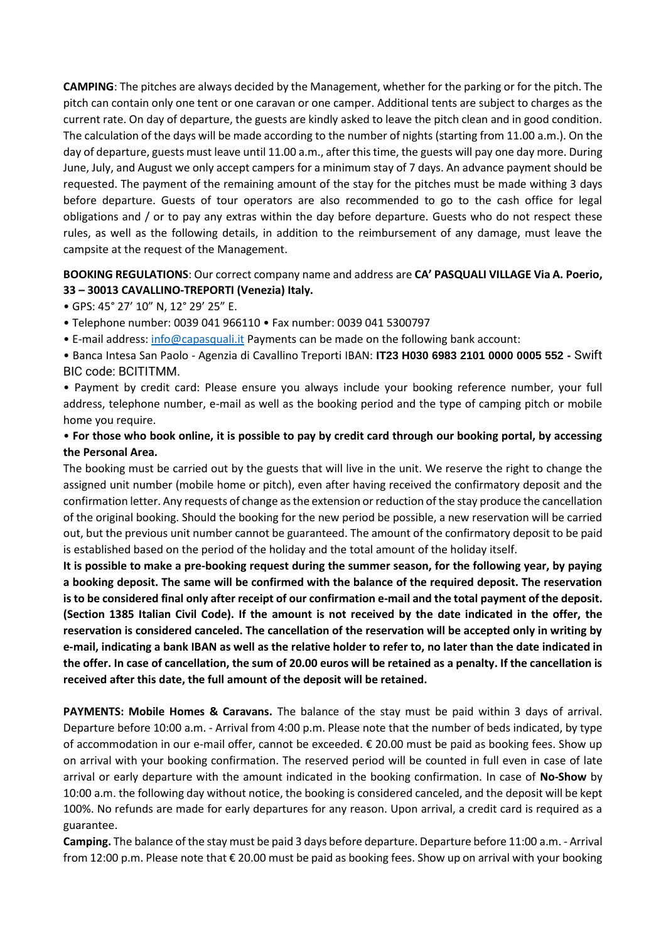**CAMPING**: The pitches are always decided by the Management, whether for the parking or for the pitch. The pitch can contain only one tent or one caravan or one camper. Additional tents are subject to charges as the current rate. On day of departure, the guests are kindly asked to leave the pitch clean and in good condition. The calculation of the days will be made according to the number of nights (starting from 11.00 a.m.). On the day of departure, guests must leave until 11.00 a.m., after this time, the guests will pay one day more. During June, July, and August we only accept campers for a minimum stay of 7 days. An advance payment should be requested. The payment of the remaining amount of the stay for the pitches must be made withing 3 days before departure. Guests of tour operators are also recommended to go to the cash office for legal obligations and / or to pay any extras within the day before departure. Guests who do not respect these rules, as well as the following details, in addition to the reimbursement of any damage, must leave the campsite at the request of the Management.

## **BOOKING REGULATIONS**: Our correct company name and address are **CA' PASQUALI VILLAGE Via A. Poerio, 33 – 30013 CAVALLINO-TREPORTI (Venezia) Italy.**

• GPS: 45° 27' 10" N, 12° 29' 25" E.

• Telephone number: 0039 041 966110 • Fax number: 0039 041 5300797

• E-mail address: [info@capasquali.it](mailto:info@capasquali.it) Payments can be made on the following bank account:

• Banca Intesa San Paolo - Agenzia di Cavallino Treporti IBAN: **IT23 H030 6983 2101 0000 0005 552 -** Swift BIC code: BCITITMM.

• Payment by credit card: Please ensure you always include your booking reference number, your full address, telephone number, e-mail as well as the booking period and the type of camping pitch or mobile home you require.

## • **For those who book online, it is possible to pay by credit card through our booking portal, by accessing the Personal Area.**

The booking must be carried out by the guests that will live in the unit. We reserve the right to change the assigned unit number (mobile home or pitch), even after having received the confirmatory deposit and the confirmation letter. Any requests of change as the extension or reduction of the stay produce the cancellation of the original booking. Should the booking for the new period be possible, a new reservation will be carried out, but the previous unit number cannot be guaranteed. The amount of the confirmatory deposit to be paid is established based on the period of the holiday and the total amount of the holiday itself.

**It is possible to make a pre-booking request during the summer season, for the following year, by paying a booking deposit. The same will be confirmed with the balance of the required deposit. The reservation is to be considered final only after receipt of our confirmation e-mail and the total payment of the deposit. (Section 1385 Italian Civil Code). If the amount is not received by the date indicated in the offer, the reservation is considered canceled. The cancellation of the reservation will be accepted only in writing by e-mail, indicating a bank IBAN as well as the relative holder to refer to, no later than the date indicated in the offer. In case of cancellation, the sum of 20.00 euros will be retained as a penalty. If the cancellation is received after this date, the full amount of the deposit will be retained.**

**PAYMENTS: Mobile Homes & Caravans.** The balance of the stay must be paid within 3 days of arrival. Departure before 10:00 a.m. - Arrival from 4:00 p.m. Please note that the number of beds indicated, by type of accommodation in our e-mail offer, cannot be exceeded. € 20.00 must be paid as booking fees. Show up on arrival with your booking confirmation. The reserved period will be counted in full even in case of late arrival or early departure with the amount indicated in the booking confirmation. In case of **No-Show** by 10:00 a.m. the following day without notice, the booking is considered canceled, and the deposit will be kept 100%. No refunds are made for early departures for any reason. Upon arrival, a credit card is required as a guarantee.

**Camping.** The balance of the stay must be paid 3 days before departure. Departure before 11:00 a.m. - Arrival from 12:00 p.m. Please note that € 20.00 must be paid as booking fees. Show up on arrival with your booking